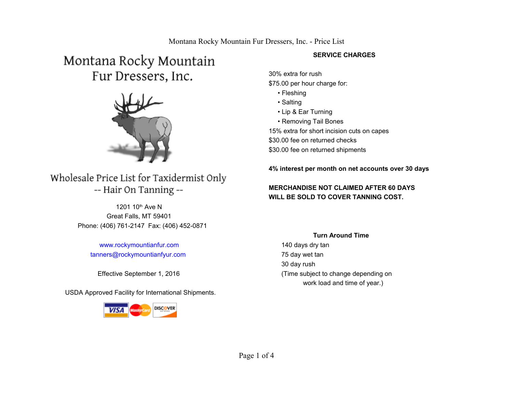# Montana Rocky Mountain Fur Dressers, Inc.



# Wholesale Price List for Taxidermist Only -- Hair On Tanning --

 Great Falls, MT 59401 Phone: (406) 761-2147 Fax: (406) 452-0871 1201 10<sup>th</sup> Ave N

 [www.rockymountianfur.com](http://www.rockymountianfur.com/)  [tanners@rockymountianfyur.com](mailto:tanners@rockymountianfyur.com)

USDA Approved Facility for International Shipments.



#### **SERVICE CHARGES**

30% extra for rush \$75.00 per hour charge for:

- Fleshing
- Salting
- Lip & Ear Turning
- Removing Tail Bones

15% extra for short incision cuts on capes \$30.00 fee on returned checks \$30.00 fee on returned shipments

**4% interest per month on net accounts over 30 days** 

### **MERCHANDISE NOT CLAIMED AFTER 60 DAYS WILL BE SOLD TO COVER TANNING COST.**

#### **Turn Around Time**

 140 days dry tan 75 day wet tan 30 day rush Effective September 1, 2016 (Time subject to change depending on work load and time of year.)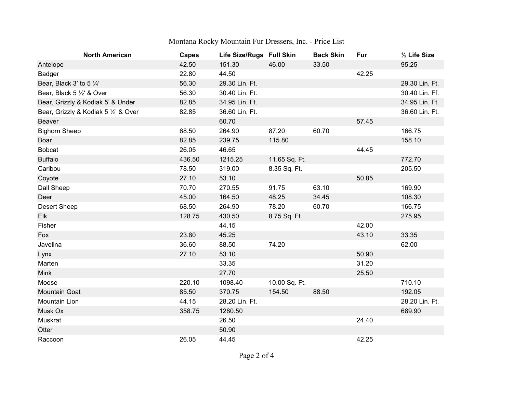# Montana Rocky Mountain Fur Dressers, Inc. - Price List

| <b>North American</b>                | <b>Capes</b> | Life Size/Rugs Full Skin |               | <b>Back Skin</b> | Fur   | 1/2 Life Size  |
|--------------------------------------|--------------|--------------------------|---------------|------------------|-------|----------------|
| Antelope                             | 42.50        | 151.30                   | 46.00         | 33.50            |       | 95.25          |
| Badger                               | 22.80        | 44.50                    |               |                  | 42.25 |                |
| Bear, Black 3' to 5 1/4'             | 56.30        | 29.30 Lin. Ft.           |               |                  |       | 29.30 Lin. Ft. |
| Bear, Black 5 1/2' & Over            | 56.30        | 30.40 Lin. Ft.           |               |                  |       | 30.40 Lin. Ff. |
| Bear, Grizzly & Kodiak 5' & Under    | 82.85        | 34.95 Lin. Ft.           |               |                  |       | 34.95 Lin. Ft. |
| Bear, Grizzly & Kodiak 5 1/2' & Over | 82.85        | 36.60 Lin. Ft.           |               |                  |       | 36.60 Lin. Ft. |
| Beaver                               |              | 60.70                    |               |                  | 57.45 |                |
| <b>Bighorn Sheep</b>                 | 68.50        | 264.90                   | 87.20         | 60.70            |       | 166.75         |
| Boar                                 | 82.85        | 239.75                   | 115.80        |                  |       | 158.10         |
| <b>Bobcat</b>                        | 26.05        | 46.65                    |               |                  | 44.45 |                |
| <b>Buffalo</b>                       | 436.50       | 1215.25                  | 11.65 Sq. Ft. |                  |       | 772.70         |
| Caribou                              | 78.50        | 319.00                   | 8.35 Sq. Ft.  |                  |       | 205.50         |
| Coyote                               | 27.10        | 53.10                    |               |                  | 50.85 |                |
| Dall Sheep                           | 70.70        | 270.55                   | 91.75         | 63.10            |       | 169.90         |
| Deer                                 | 45.00        | 164.50                   | 48.25         | 34.45            |       | 108.30         |
| <b>Desert Sheep</b>                  | 68.50        | 264.90                   | 78.20         | 60.70            |       | 166.75         |
| Elk                                  | 128.75       | 430.50                   | 8.75 Sq. Ft.  |                  |       | 275.95         |
| Fisher                               |              | 44.15                    |               |                  | 42.00 |                |
| Fox                                  | 23.80        | 45.25                    |               |                  | 43.10 | 33.35          |
| Javelina                             | 36.60        | 88.50                    | 74.20         |                  |       | 62.00          |
| Lynx                                 | 27.10        | 53.10                    |               |                  | 50.90 |                |
| Marten                               |              | 33.35                    |               |                  | 31.20 |                |
| <b>Mink</b>                          |              | 27.70                    |               |                  | 25.50 |                |
| Moose                                | 220.10       | 1098.40                  | 10.00 Sq. Ft. |                  |       | 710.10         |
| <b>Mountain Goat</b>                 | 85.50        | 370.75                   | 154.50        | 88.50            |       | 192.05         |
| Mountain Lion                        | 44.15        | 28.20 Lin. Ft.           |               |                  |       | 28.20 Lin. Ft. |
| Musk Ox                              | 358.75       | 1280.50                  |               |                  |       | 689.90         |
| Muskrat                              |              | 26.50                    |               |                  | 24.40 |                |
| Otter                                |              | 50.90                    |               |                  |       |                |
| Raccoon                              | 26.05        | 44.45                    |               |                  | 42.25 |                |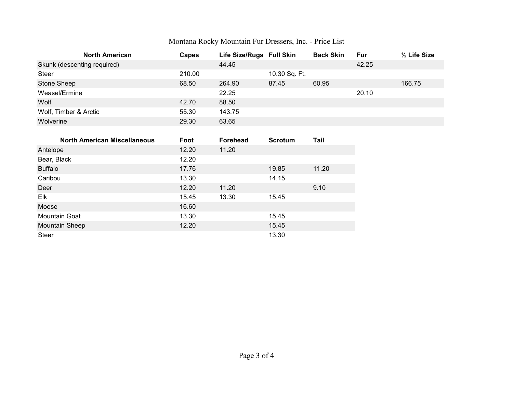# Montana Rocky Mountain Fur Dressers, Inc. - Price List

| <b>North American</b>       | <b>Capes</b> | Life Size/Rugs Full Skin |               | <b>Back Skin</b> | <b>Fur</b> | $\frac{1}{2}$ Life Size |
|-----------------------------|--------------|--------------------------|---------------|------------------|------------|-------------------------|
| Skunk (descenting required) |              | 44.45                    |               |                  | 42.25      |                         |
| <b>Steer</b>                | 210.00       |                          | 10.30 Sq. Ft. |                  |            |                         |
| Stone Sheep                 | 68.50        | 264.90                   | 87.45         | 60.95            |            | 166.75                  |
| Weasel/Ermine               |              | 22.25                    |               |                  | 20.10      |                         |
| Wolf                        | 42.70        | 88.50                    |               |                  |            |                         |
| Wolf, Timber & Arctic       | 55.30        | 143.75                   |               |                  |            |                         |
| Wolverine                   | 29.30        | 63.65                    |               |                  |            |                         |

| <b>North American Miscellaneous</b> | Foot  | <b>Forehead</b> | <b>Scrotum</b> | Tail  |
|-------------------------------------|-------|-----------------|----------------|-------|
| Antelope                            | 12.20 | 11.20           |                |       |
| Bear, Black                         | 12.20 |                 |                |       |
| <b>Buffalo</b>                      | 17.76 |                 | 19.85          | 11.20 |
| Caribou                             | 13.30 |                 | 14.15          |       |
| Deer                                | 12.20 | 11.20           |                | 9.10  |
| Elk                                 | 15.45 | 13.30           | 15.45          |       |
| Moose                               | 16.60 |                 |                |       |
| <b>Mountain Goat</b>                | 13.30 |                 | 15.45          |       |
| <b>Mountain Sheep</b>               | 12.20 |                 | 15.45          |       |
| <b>Steer</b>                        |       |                 | 13.30          |       |